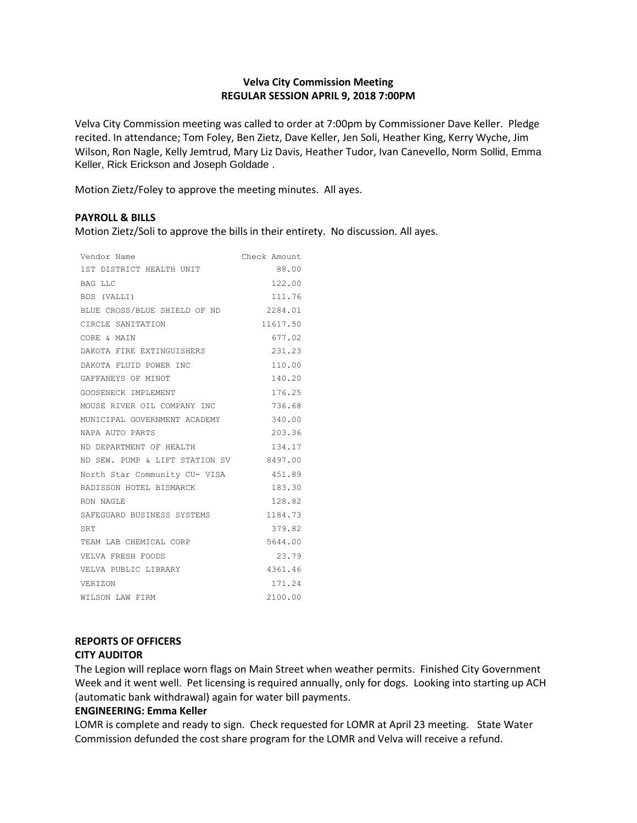## **Velva City Commission Meeting REGULAR SESSION APRIL 9, 2018 7:00PM**

Velva City Commission meeting was called to order at 7:00pm by Commissioner Dave Keller. Pledge recited. In attendance; Tom Foley, Ben Zietz, Dave Keller, Jen Soli, Heather King, Kerry Wyche, Jim Wilson, Ron Nagle, Kelly Jemtrud, Mary Liz Davis, Heather Tudor, Ivan Canevello, Norm Sollid, Emma Keller, Rick Erickson and Joseph Goldade .

Motion Zietz/Foley to approve the meeting minutes. All ayes.

## **PAYROLL & BILLS**

Motion Zietz/Soli to approve the bills in their entirety. No discussion. All ayes.

| Vendor Name                    | Check Amount |
|--------------------------------|--------------|
| 1ST DISTRICT HEALTH UNIT       | 88.00        |
| BAG LLC                        | 122.00       |
| BDS (VALLI)                    | 111.76       |
| BLUE CROSS/BLUE SHIELD OF ND   | 2284.01      |
| CIRCLE SANITATION              | 11617.50     |
| CORE & MAIN                    | 677.02       |
| DAKOTA FIRE EXTINGUISHERS      | 231.23       |
| DAKOTA FLUID POWER INC         | 110.00       |
| GAFFANEYS OF MINOT             | 140.20       |
| GOOSENECK IMPLEMENT            | 176.25       |
| MOUSE RIVER OIL COMPANY INC    | 736.68       |
| MUNICIPAL GOVERNMENT ACADEMY   | 340.00       |
| NAPA AUTO PARTS                | 203.36       |
| ND DEPARTMENT OF HEALTH        | 134.17       |
| ND SEW. PUMP & LIFT STATION SV | 8497.00      |
| North Star Community CU- VISA  | 451.89       |
| RADISSON HOTEL BISMARCK        | 183.30       |
| RON NAGLE                      | 128.82       |
| SAFEGUARD BUSINESS SYSTEMS     | 1184.73      |
| SRT                            | 379.82       |
| TEAM LAB CHEMICAL CORP         | 5644.00      |
| VELVA FRESH FOODS              | 23.79        |
| VELVA PUBLIC LIBRARY           | 4361.46      |
| VERIZON                        | 171.24       |
| WILSON LAW FIRM                | 2100.00      |

# **REPORTS OF OFFICERS**

## **CITY AUDITOR**

The Legion will replace worn flags on Main Street when weather permits. Finished City Government Week and it went well. Pet licensing is required annually, only for dogs. Looking into starting up ACH (automatic bank withdrawal) again for water bill payments.

#### **ENGINEERING: Emma Keller**

LOMR is complete and ready to sign. Check requested for LOMR at April 23 meeting. State Water Commission defunded the cost share program for the LOMR and Velva will receive a refund.